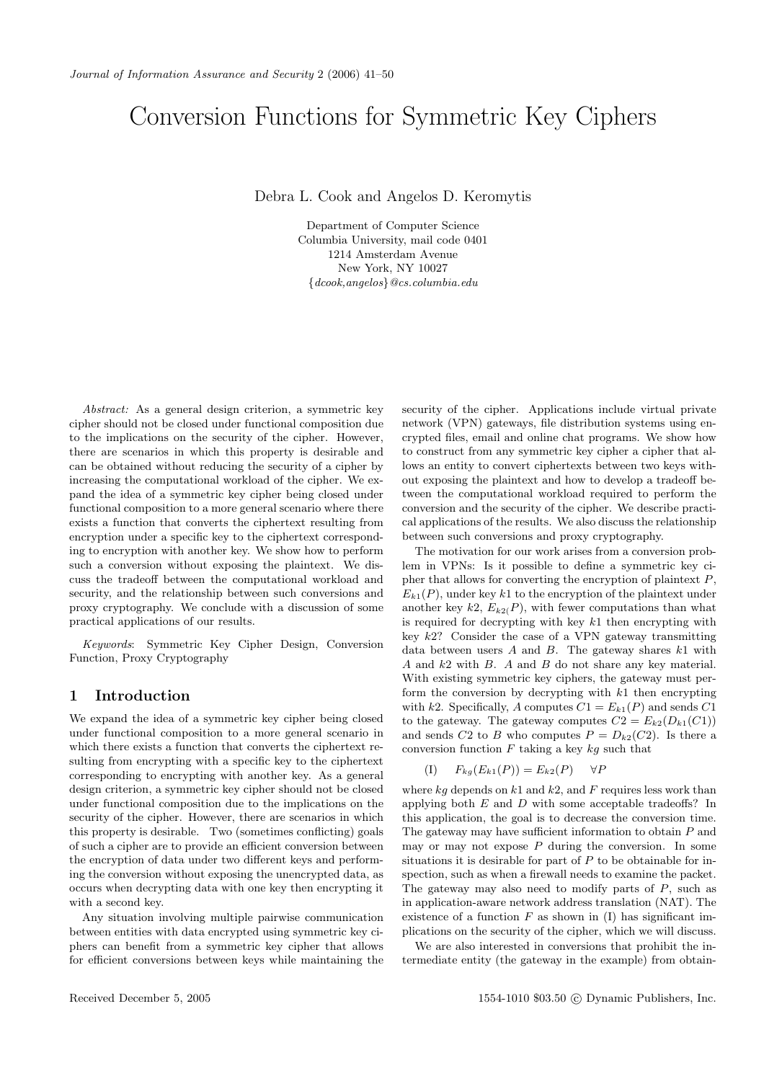# Conversion Functions for Symmetric Key Ciphers

Debra L. Cook and Angelos D. Keromytis

Department of Computer Science Columbia University, mail code 0401 1214 Amsterdam Avenue New York, NY 10027 {dcook,angelos}@cs.columbia.edu

Abstract: As a general design criterion, a symmetric key cipher should not be closed under functional composition due to the implications on the security of the cipher. However, there are scenarios in which this property is desirable and can be obtained without reducing the security of a cipher by increasing the computational workload of the cipher. We expand the idea of a symmetric key cipher being closed under functional composition to a more general scenario where there exists a function that converts the ciphertext resulting from encryption under a specific key to the ciphertext corresponding to encryption with another key. We show how to perform such a conversion without exposing the plaintext. We discuss the tradeoff between the computational workload and security, and the relationship between such conversions and proxy cryptography. We conclude with a discussion of some practical applications of our results.

Keywords: Symmetric Key Cipher Design, Conversion Function, Proxy Cryptography

# 1 Introduction

We expand the idea of a symmetric key cipher being closed under functional composition to a more general scenario in which there exists a function that converts the ciphertext resulting from encrypting with a specific key to the ciphertext corresponding to encrypting with another key. As a general design criterion, a symmetric key cipher should not be closed under functional composition due to the implications on the security of the cipher. However, there are scenarios in which this property is desirable. Two (sometimes conflicting) goals of such a cipher are to provide an efficient conversion between the encryption of data under two different keys and performing the conversion without exposing the unencrypted data, as occurs when decrypting data with one key then encrypting it with a second key.

Any situation involving multiple pairwise communication between entities with data encrypted using symmetric key ciphers can benefit from a symmetric key cipher that allows for efficient conversions between keys while maintaining the security of the cipher. Applications include virtual private network (VPN) gateways, file distribution systems using encrypted files, email and online chat programs. We show how to construct from any symmetric key cipher a cipher that allows an entity to convert ciphertexts between two keys without exposing the plaintext and how to develop a tradeoff between the computational workload required to perform the conversion and the security of the cipher. We describe practical applications of the results. We also discuss the relationship between such conversions and proxy cryptography.

The motivation for our work arises from a conversion problem in VPNs: Is it possible to define a symmetric key cipher that allows for converting the encryption of plaintext  $P$ ,  $E_{k1}(P)$ , under key k1 to the encryption of the plaintext under another key  $k_2$ ,  $E_{k_2}(P)$ , with fewer computations than what is required for decrypting with key  $k1$  then encrypting with key  $k2$ ? Consider the case of a VPN gateway transmitting data between users  $A$  and  $B$ . The gateway shares  $k1$  with A and k2 with B. A and B do not share any key material. With existing symmetric key ciphers, the gateway must perform the conversion by decrypting with  $k1$  then encrypting with k2. Specifically, A computes  $C1 = E_{k1}(P)$  and sends  $C1$ to the gateway. The gateway computes  $C_2 = E_{k2}(D_{k1}(C_1))$ and sends C2 to B who computes  $P = D_{k2}(C2)$ . Is there a conversion function  $F$  taking a key  $kg$  such that

$$
(I) \tF_{kg}(E_{k1}(P)) = E_{k2}(P) \t\forall P
$$

where  $kg$  depends on  $k1$  and  $k2$ , and F requires less work than applying both E and D with some acceptable tradeoffs? In this application, the goal is to decrease the conversion time. The gateway may have sufficient information to obtain  $P$  and may or may not expose  $P$  during the conversion. In some situations it is desirable for part of  $P$  to be obtainable for inspection, such as when a firewall needs to examine the packet. The gateway may also need to modify parts of  $P$ , such as in application-aware network address translation (NAT). The existence of a function  $F$  as shown in  $(I)$  has significant implications on the security of the cipher, which we will discuss.

We are also interested in conversions that prohibit the intermediate entity (the gateway in the example) from obtain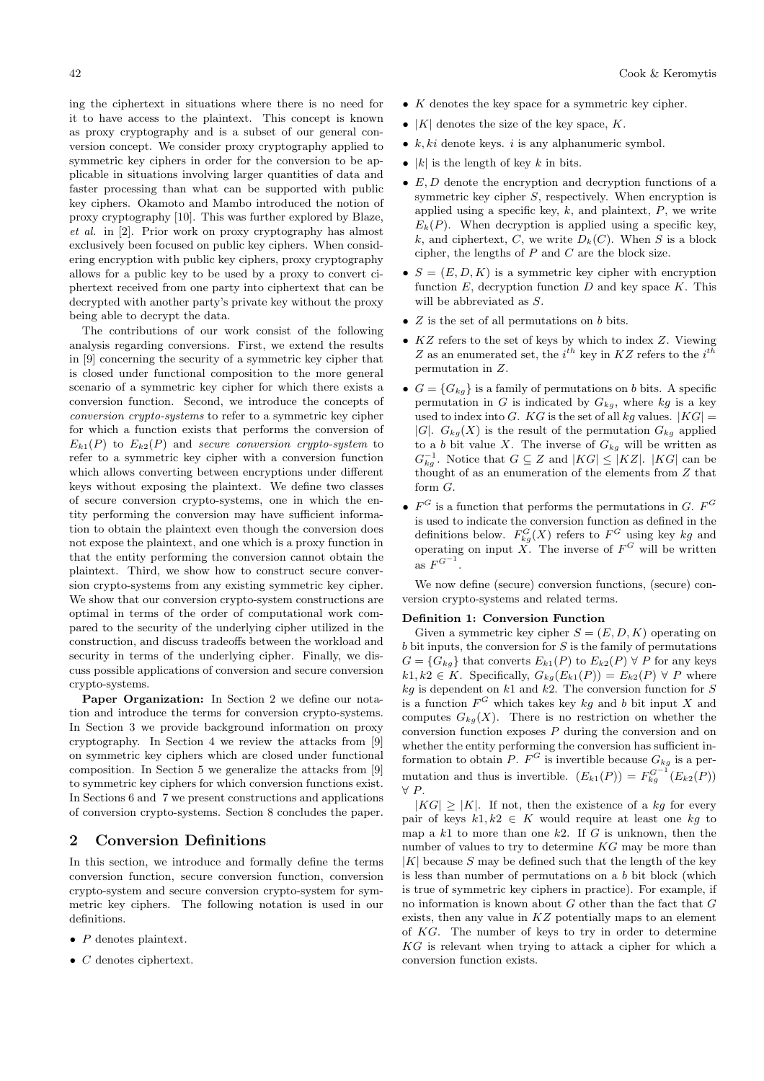ing the ciphertext in situations where there is no need for it to have access to the plaintext. This concept is known as proxy cryptography and is a subset of our general conversion concept. We consider proxy cryptography applied to symmetric key ciphers in order for the conversion to be applicable in situations involving larger quantities of data and faster processing than what can be supported with public key ciphers. Okamoto and Mambo introduced the notion of proxy cryptography [10]. This was further explored by Blaze, et al. in [2]. Prior work on proxy cryptography has almost exclusively been focused on public key ciphers. When considering encryption with public key ciphers, proxy cryptography allows for a public key to be used by a proxy to convert ciphertext received from one party into ciphertext that can be decrypted with another party's private key without the proxy being able to decrypt the data.

The contributions of our work consist of the following analysis regarding conversions. First, we extend the results in [9] concerning the security of a symmetric key cipher that is closed under functional composition to the more general scenario of a symmetric key cipher for which there exists a conversion function. Second, we introduce the concepts of conversion crypto-systems to refer to a symmetric key cipher for which a function exists that performs the conversion of  $E_{k1}(P)$  to  $E_{k2}(P)$  and secure conversion crypto-system to refer to a symmetric key cipher with a conversion function which allows converting between encryptions under different keys without exposing the plaintext. We define two classes of secure conversion crypto-systems, one in which the entity performing the conversion may have sufficient information to obtain the plaintext even though the conversion does not expose the plaintext, and one which is a proxy function in that the entity performing the conversion cannot obtain the plaintext. Third, we show how to construct secure conversion crypto-systems from any existing symmetric key cipher. We show that our conversion crypto-system constructions are optimal in terms of the order of computational work compared to the security of the underlying cipher utilized in the construction, and discuss tradeoffs between the workload and security in terms of the underlying cipher. Finally, we discuss possible applications of conversion and secure conversion crypto-systems.

Paper Organization: In Section 2 we define our notation and introduce the terms for conversion crypto-systems. In Section 3 we provide background information on proxy cryptography. In Section 4 we review the attacks from [9] on symmetric key ciphers which are closed under functional composition. In Section 5 we generalize the attacks from [9] to symmetric key ciphers for which conversion functions exist. In Sections 6 and 7 we present constructions and applications of conversion crypto-systems. Section 8 concludes the paper.

## 2 Conversion Definitions

In this section, we introduce and formally define the terms conversion function, secure conversion function, conversion crypto-system and secure conversion crypto-system for symmetric key ciphers. The following notation is used in our definitions.

- $\bullet$  *P* denotes plaintext.
- $\bullet$  *C* denotes ciphertext.
- $K$  denotes the key space for a symmetric key cipher.
- $|K|$  denotes the size of the key space, K.
- $k, ki$  denote keys. i is any alphanumeric symbol.
- $|k|$  is the length of key k in bits.
- $\bullet$   $E, D$  denote the encryption and decryption functions of a symmetric key cipher  $S$ , respectively. When encryption is applied using a specific key,  $k$ , and plaintext,  $P$ , we write  $E_k(P)$ . When decryption is applied using a specific key, k, and ciphertext, C, we write  $D_k(C)$ . When S is a block cipher, the lengths of  $P$  and  $C$  are the block size.
- $S = (E, D, K)$  is a symmetric key cipher with encryption function  $E$ , decryption function  $D$  and key space  $K$ . This will be abbreviated as  $S$ .
- $Z$  is the set of all permutations on  $b$  bits.
- KZ refers to the set of keys by which to index Z. Viewing Z as an enumerated set, the  $i^{th}$  key in KZ refers to the  $i^{th}$ permutation in Z.
- $G = \{G_{ka}\}\$ is a family of permutations on b bits. A specific permutation in G is indicated by  $G_{ka}$ , where kg is a key used to index into G. KG is the set of all kg values.  $|KG|$  = |G|.  $G_{kq}(X)$  is the result of the permutation  $G_{kq}$  applied to a b bit value X. The inverse of  $G_{kg}$  will be written as  $G_{kg}^{-1}$ . Notice that  $G \subseteq Z$  and  $|KG| \leq |KZ|$ .  $|KG|$  can be thought of as an enumeration of the elements from Z that form G.
- $F^G$  is a function that performs the permutations in G.  $F^G$ is used to indicate the conversion function as defined in the definitions below.  $F_{kg}^{G}(X)$  refers to  $F^{G}$  using key kg and operating on input X. The inverse of  $F^G$  will be written as  $F^{G^{-1}}$ .

We now define (secure) conversion functions, (secure) conversion crypto-systems and related terms.

#### Definition 1: Conversion Function

Given a symmetric key cipher  $S = (E, D, K)$  operating on  $b$  bit inputs, the conversion for  $S$  is the family of permutations  $G = \{G_{kg}\}\$  that converts  $E_{k1}(P)$  to  $E_{k2}(P) \forall P$  for any keys  $k1, k2 \in K$ . Specifically,  $G_{kg}(E_{k1}(P)) = E_{k2}(P) \ \forall \ P$  where  $kg$  is dependent on  $k1$  and  $k2$ . The conversion function for  $S$ is a function  $F^G$  which takes key kg and b bit input X and computes  $G_{kg}(X)$ . There is no restriction on whether the conversion function exposes  $P$  during the conversion and on whether the entity performing the conversion has sufficient information to obtain P.  $F^G$  is invertible because  $G_{kg}$  is a permutation and thus is invertible.  $(E_{k1}(P)) = F_{kg}^{G^{-1}}(E_{k2}(P))$ ∀ P.

 $|KG| \geq |K|$ . If not, then the existence of a kg for every pair of keys  $k1, k2 \in K$  would require at least one kg to map a  $k1$  to more than one  $k2$ . If G is unknown, then the number of values to try to determine KG may be more than  $|K|$  because S may be defined such that the length of the key is less than number of permutations on a b bit block (which is true of symmetric key ciphers in practice). For example, if no information is known about  $G$  other than the fact that  $G$ exists, then any value in  $KZ$  potentially maps to an element of KG. The number of keys to try in order to determine KG is relevant when trying to attack a cipher for which a conversion function exists.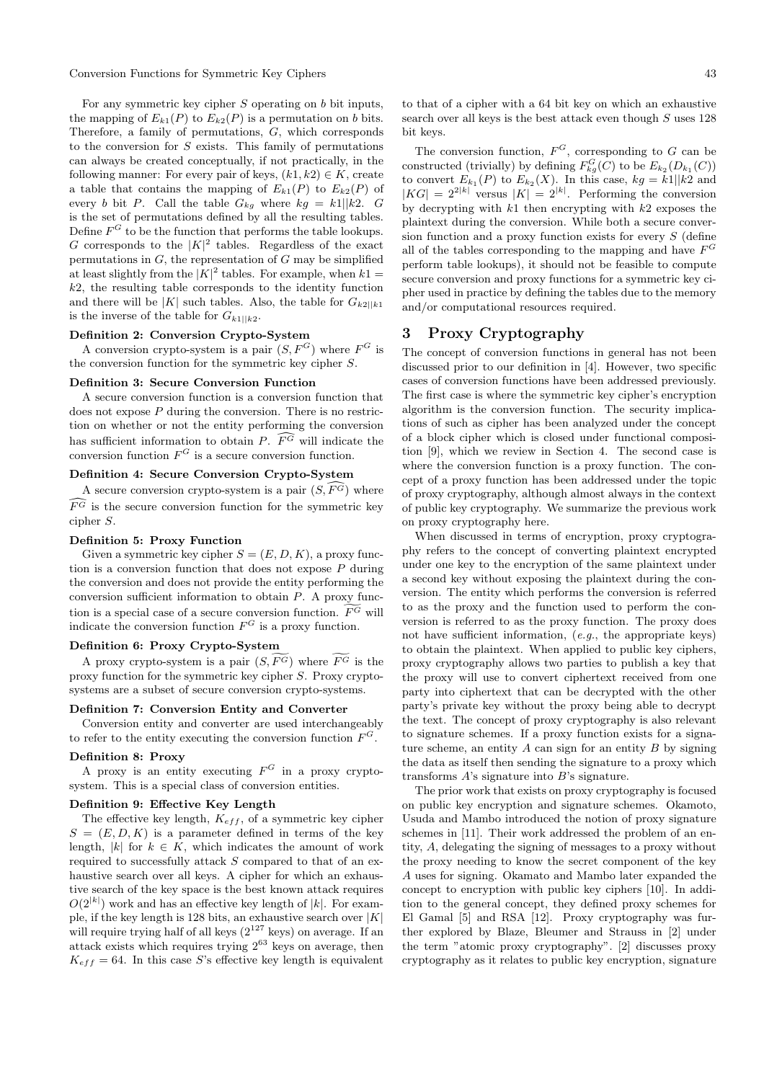Conversion Functions for Symmetric Key Ciphers 43

For any symmetric key cipher  $S$  operating on  $b$  bit inputs, the mapping of  $E_{k1}(P)$  to  $E_{k2}(P)$  is a permutation on b bits. Therefore, a family of permutations, G, which corresponds to the conversion for  $S$  exists. This family of permutations can always be created conceptually, if not practically, in the following manner: For every pair of keys,  $(k1, k2) \in K$ , create a table that contains the mapping of  $E_{k1}(P)$  to  $E_{k2}(P)$  of every b bit P. Call the table  $G_{kg}$  where  $kg = k1||k2$ . G is the set of permutations defined by all the resulting tables. Define  $F^G$  to be the function that performs the table lookups. G corresponds to the  $|K|^2$  tables. Regardless of the exact permutations in  $G$ , the representation of  $G$  may be simplified at least slightly from the  $|K|^2$  tables. For example, when  $k1 =$  $k2$ , the resulting table corresponds to the identity function and there will be |K| such tables. Also, the table for  $G_{k2||k1}$ is the inverse of the table for  $G_{k1||k2}$ .

#### Definition 2: Conversion Crypto-System

A conversion crypto-system is a pair  $(S, F^G)$  where  $F^G$  is the conversion function for the symmetric key cipher S.

#### Definition 3: Secure Conversion Function

A secure conversion function is a conversion function that does not expose  $P$  during the conversion. There is no restriction on whether or not the entity performing the conversion has sufficient information to obtain P.  $\widehat{F}^G$  will indicate the conversion function  $F^G$  is a secure conversion function.

## Definition 4: Secure Conversion Crypto-System

A secure conversion crypto-system is a pair  $(S, \widehat{F}^G)$  where  $\widehat{F}^G$  is the secure conversion function for the symmetric key cipher S.

#### Definition 5: Proxy Function

Given a symmetric key cipher  $S = (E, D, K)$ , a proxy function is a conversion function that does not expose P during the conversion and does not provide the entity performing the conversion sufficient information to obtain  $P$ . A proxy function is a special case of a secure conversion function.  $\widetilde{F}^G$  will indicate the conversion function  $F^G$  is a proxy function.

#### Definition 6: Proxy Crypto-System

A proxy crypto-system is a pair  $(S, \widetilde{F}^G)$  where  $\widetilde{F}^G$  is the proxy function for the symmetric key cipher S. Proxy cryptosystems are a subset of secure conversion crypto-systems.

## Definition 7: Conversion Entity and Converter

Conversion entity and converter are used interchangeably to refer to the entity executing the conversion function  $F^G$ .

#### Definition 8: Proxy

A proxy is an entity executing  $F^G$  in a proxy cryptosystem. This is a special class of conversion entities.

#### Definition 9: Effective Key Length

The effective key length,  $K_{eff}$ , of a symmetric key cipher  $S = (E, D, K)$  is a parameter defined in terms of the key length,  $|k|$  for  $k \in K$ , which indicates the amount of work required to successfully attack S compared to that of an exhaustive search over all keys. A cipher for which an exhaustive search of the key space is the best known attack requires  $O(2^{|k|})$  work and has an effective key length of |k|. For example, if the key length is 128 bits, an exhaustive search over  $|K|$ will require trying half of all keys  $(2^{127}$  keys) on average. If an attack exists which requires trying  $2^{63}$  keys on average, then  $K_{eff} = 64$ . In this case S's effective key length is equivalent

to that of a cipher with a 64 bit key on which an exhaustive search over all keys is the best attack even though  $S$  uses 128 bit keys.

The conversion function,  $F^G$ , corresponding to G can be constructed (trivially) by defining  $F_{kg}^G(C)$  to be  $E_{k_2}(D_{k_1}(C))$ to convert  $E_{k_1}(P)$  to  $E_{k_2}(X)$ . In this case,  $kg = k1||k2$  and  $|KG| = 2^{2|k|}$  versus  $|K| = 2^{|k|}$ . Performing the conversion by decrypting with  $k1$  then encrypting with  $k2$  exposes the plaintext during the conversion. While both a secure conversion function and a proxy function exists for every  $S$  (define all of the tables corresponding to the mapping and have  $F^G$ perform table lookups), it should not be feasible to compute secure conversion and proxy functions for a symmetric key cipher used in practice by defining the tables due to the memory and/or computational resources required.

## 3 Proxy Cryptography

The concept of conversion functions in general has not been discussed prior to our definition in [4]. However, two specific cases of conversion functions have been addressed previously. The first case is where the symmetric key cipher's encryption algorithm is the conversion function. The security implications of such as cipher has been analyzed under the concept of a block cipher which is closed under functional composition [9], which we review in Section 4. The second case is where the conversion function is a proxy function. The concept of a proxy function has been addressed under the topic of proxy cryptography, although almost always in the context of public key cryptography. We summarize the previous work on proxy cryptography here.

When discussed in terms of encryption, proxy cryptography refers to the concept of converting plaintext encrypted under one key to the encryption of the same plaintext under a second key without exposing the plaintext during the conversion. The entity which performs the conversion is referred to as the proxy and the function used to perform the conversion is referred to as the proxy function. The proxy does not have sufficient information, (e.g., the appropriate keys) to obtain the plaintext. When applied to public key ciphers, proxy cryptography allows two parties to publish a key that the proxy will use to convert ciphertext received from one party into ciphertext that can be decrypted with the other party's private key without the proxy being able to decrypt the text. The concept of proxy cryptography is also relevant to signature schemes. If a proxy function exists for a signature scheme, an entity  $A$  can sign for an entity  $B$  by signing the data as itself then sending the signature to a proxy which transforms A's signature into B's signature.

The prior work that exists on proxy cryptography is focused on public key encryption and signature schemes. Okamoto, Usuda and Mambo introduced the notion of proxy signature schemes in [11]. Their work addressed the problem of an entity, A, delegating the signing of messages to a proxy without the proxy needing to know the secret component of the key A uses for signing. Okamato and Mambo later expanded the concept to encryption with public key ciphers [10]. In addition to the general concept, they defined proxy schemes for El Gamal [5] and RSA [12]. Proxy cryptography was further explored by Blaze, Bleumer and Strauss in [2] under the term "atomic proxy cryptography". [2] discusses proxy cryptography as it relates to public key encryption, signature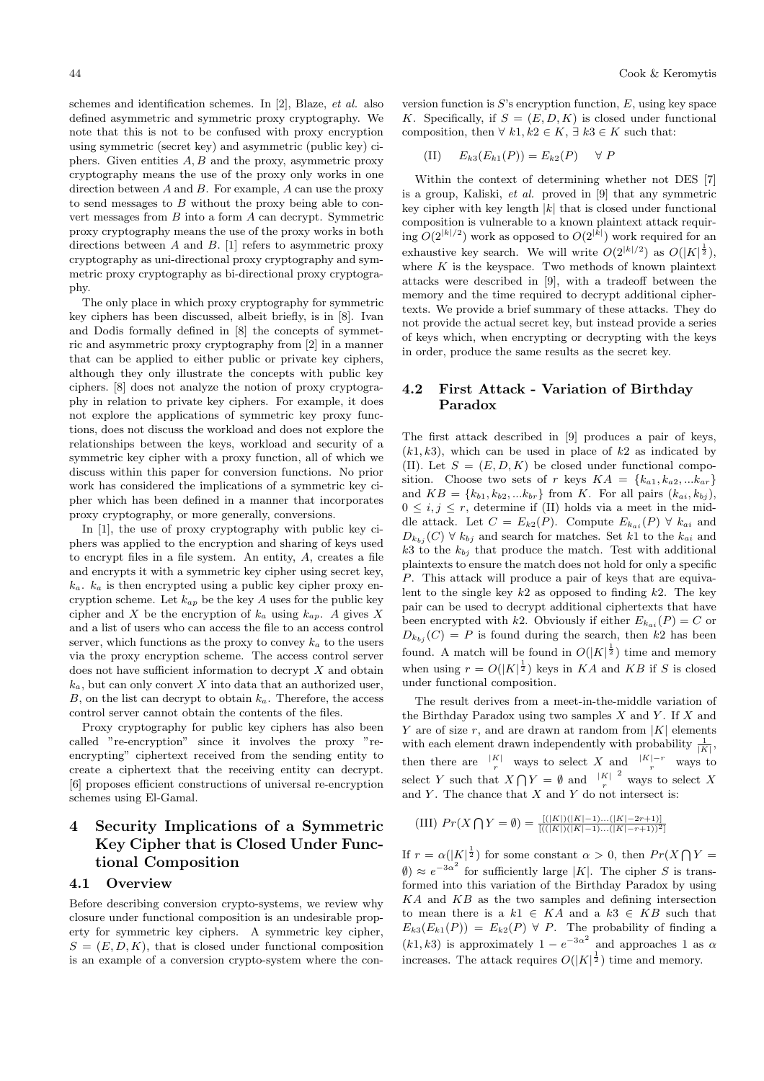schemes and identification schemes. In [2], Blaze, et al. also defined asymmetric and symmetric proxy cryptography. We note that this is not to be confused with proxy encryption using symmetric (secret key) and asymmetric (public key) ciphers. Given entities  $A, B$  and the proxy, asymmetric proxy cryptography means the use of the proxy only works in one direction between A and B. For example, A can use the proxy to send messages to  $B$  without the proxy being able to convert messages from B into a form A can decrypt. Symmetric proxy cryptography means the use of the proxy works in both directions between  $A$  and  $B$ . [1] refers to asymmetric proxy cryptography as uni-directional proxy cryptography and symmetric proxy cryptography as bi-directional proxy cryptography.

The only place in which proxy cryptography for symmetric key ciphers has been discussed, albeit briefly, is in [8]. Ivan and Dodis formally defined in [8] the concepts of symmetric and asymmetric proxy cryptography from [2] in a manner that can be applied to either public or private key ciphers, although they only illustrate the concepts with public key ciphers. [8] does not analyze the notion of proxy cryptography in relation to private key ciphers. For example, it does not explore the applications of symmetric key proxy functions, does not discuss the workload and does not explore the relationships between the keys, workload and security of a symmetric key cipher with a proxy function, all of which we discuss within this paper for conversion functions. No prior work has considered the implications of a symmetric key cipher which has been defined in a manner that incorporates proxy cryptography, or more generally, conversions.

In [1], the use of proxy cryptography with public key ciphers was applied to the encryption and sharing of keys used to encrypt files in a file system. An entity, A, creates a file and encrypts it with a symmetric key cipher using secret key,  $k_a$ .  $k_a$  is then encrypted using a public key cipher proxy encryption scheme. Let  $k_{ap}$  be the key A uses for the public key cipher and X be the encryption of  $k_a$  using  $k_{ap}$ . A gives X and a list of users who can access the file to an access control server, which functions as the proxy to convey  $k_a$  to the users via the proxy encryption scheme. The access control server does not have sufficient information to decrypt X and obtain  $k_a$ , but can only convert X into data that an authorized user, B, on the list can decrypt to obtain  $k_a$ . Therefore, the access control server cannot obtain the contents of the files.

Proxy cryptography for public key ciphers has also been called "re-encryption" since it involves the proxy "reencrypting" ciphertext received from the sending entity to create a ciphertext that the receiving entity can decrypt. [6] proposes efficient constructions of universal re-encryption schemes using El-Gamal.

# 4 Security Implications of a Symmetric Key Cipher that is Closed Under Functional Composition

## 4.1 Overview

Before describing conversion crypto-systems, we review why closure under functional composition is an undesirable property for symmetric key ciphers. A symmetric key cipher,  $S = (E, D, K)$ , that is closed under functional composition is an example of a conversion crypto-system where the con-

version function is  $S$ 's encryption function,  $E$ , using key space K. Specifically, if  $S = (E, D, K)$  is closed under functional composition, then  $\forall k1, k2 \in K$ ,  $\exists k3 \in K$  such that:

(II) 
$$
E_{k3}(E_{k1}(P)) = E_{k2}(P) \quad \forall P
$$

Within the context of determining whether not DES [7] is a group, Kaliski, et al. proved in [9] that any symmetric key cipher with key length  $|k|$  that is closed under functional composition is vulnerable to a known plaintext attack requiring  $O(2^{|k|/2})$  work as opposed to  $O(2^{|k|})$  work required for an exhaustive key search. We will write  $O(2^{|k|/2})$  as  $O(|K|^{\frac{1}{2}})$ , where  $K$  is the keyspace. Two methods of known plaintext attacks were described in [9], with a tradeoff between the memory and the time required to decrypt additional ciphertexts. We provide a brief summary of these attacks. They do not provide the actual secret key, but instead provide a series of keys which, when encrypting or decrypting with the keys in order, produce the same results as the secret key.

## 4.2 First Attack - Variation of Birthday Paradox

The first attack described in [9] produces a pair of keys,  $(k1, k3)$ , which can be used in place of  $k2$  as indicated by (II). Let  $S = (E, D, K)$  be closed under functional composition. Choose two sets of r keys  $KA = \{k_{a1}, k_{a2}, ... k_{ar}\}\$ and  $KB = \{k_{b1}, k_{b2},...k_{br}\}\$ from K. For all pairs  $(k_{ai}, k_{bi})$ ,  $0 \leq i, j \leq r$ , determine if (II) holds via a meet in the middle attack. Let  $C = E_{k2}(P)$ . Compute  $E_{k_{ai}}(P) \forall k_{ai}$  and  $D_{kbi}(C)$   $\forall$   $k_{bi}$  and search for matches. Set k1 to the  $k_{ai}$  and  $k3$  to the  $k_{bj}$  that produce the match. Test with additional plaintexts to ensure the match does not hold for only a specific P. This attack will produce a pair of keys that are equivalent to the single key  $k2$  as opposed to finding  $k2$ . The key pair can be used to decrypt additional ciphertexts that have been encrypted with k2. Obviously if either  $E_{k_{ai}}(P) = C$  or  $D_{k_{bi}}(C) = P$  is found during the search, then k2 has been found. A match will be found in  $O(|K|^{\frac{1}{2}})$  time and memory when using  $r = O(|K|^{\frac{1}{2}})$  keys in KA and KB if S is closed under functional composition.

The result derives from a meet-in-the-middle variation of the Birthday Paradox using two samples  $X$  and  $Y$ . If  $X$  and Y are of size r, and are drawn at random from  $|K|$  elements with each element drawn independently with probability  $\frac{1}{|K|}$ , while each element drawn independently with probability  $|K|$ ,<br>then there are  $\frac{|K|}{r}$  ways to select X and  $\frac{|K|-r}{r}$  ways to select Y such that  $X \cap Y = \emptyset$  and  $\frac{|K|}{r}$  $2$  ways to select X and  $Y$ . The chance that  $X$  and  $Y$  do not intersect is:

(III) 
$$
Pr(X \cap Y = \emptyset) = \frac{[(|K|)(|K|-1)...(|K|-2r+1)]}{[((|K|)(|K|-1)...(|K|-r+1))^2]}
$$

If  $r = \alpha(|K|^{\frac{1}{2}})$  for some constant  $\alpha > 0$ , then  $Pr(X \cap Y =$  $\emptyset$ )  $\approx e^{-3\alpha^2}$  for sufficiently large |K|. The cipher S is transformed into this variation of the Birthday Paradox by using KA and KB as the two samples and defining intersection to mean there is a  $k1 \in KA$  and a  $k3 \in KB$  such that  $E_{k3}(E_{k1}(P)) = E_{k2}(P) \forall P$ . The probability of finding a  $(k1, k3)$  is approximately  $1 - e^{-3\alpha^2}$  and approaches 1 as  $\alpha$ increases. The attack requires  $O(|K|^{\frac{1}{2}})$  time and memory.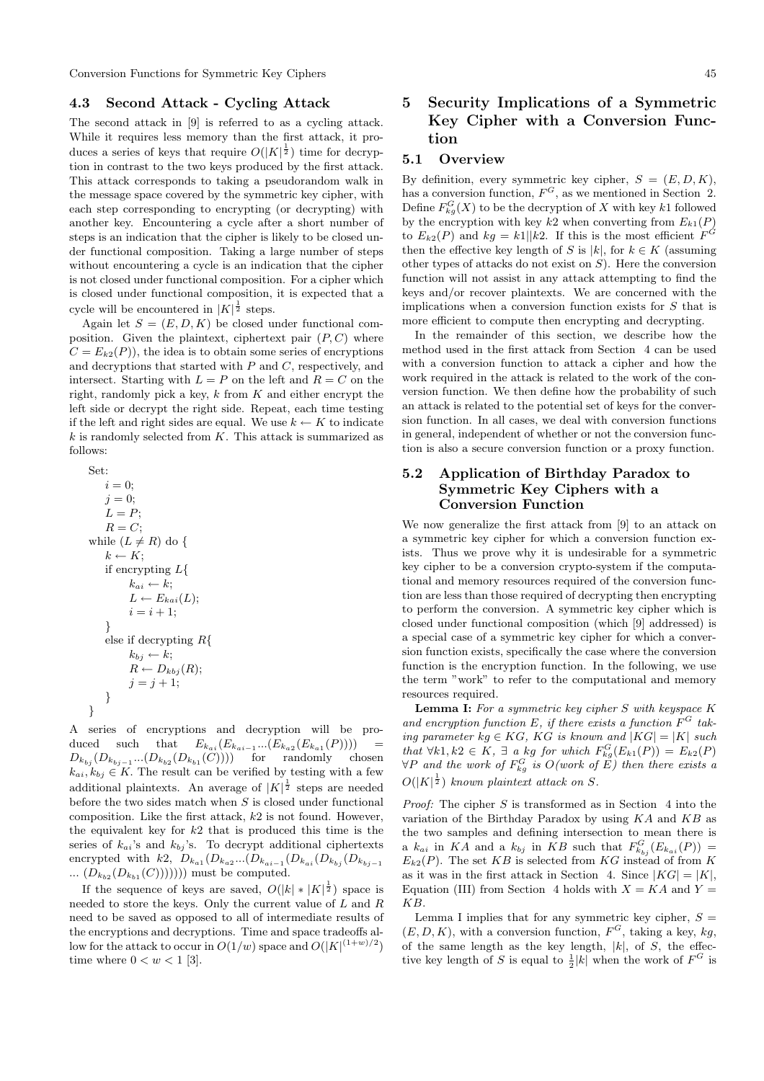Conversion Functions for Symmetric Key Ciphers 45

#### 4.3 Second Attack - Cycling Attack

The second attack in [9] is referred to as a cycling attack. While it requires less memory than the first attack, it produces a series of keys that require  $O(|K|^{\frac{1}{2}})$  time for decryption in contrast to the two keys produced by the first attack. This attack corresponds to taking a pseudorandom walk in the message space covered by the symmetric key cipher, with each step corresponding to encrypting (or decrypting) with another key. Encountering a cycle after a short number of steps is an indication that the cipher is likely to be closed under functional composition. Taking a large number of steps without encountering a cycle is an indication that the cipher is not closed under functional composition. For a cipher which is closed under functional composition, it is expected that a cycle will be encountered in  $|K|^{\frac{1}{2}}$  steps.

Again let  $S = (E, D, K)$  be closed under functional composition. Given the plaintext, ciphertext pair  $(P, C)$  where  $C = E_{k2}(P)$ , the idea is to obtain some series of encryptions and decryptions that started with  $P$  and  $C$ , respectively, and intersect. Starting with  $L = P$  on the left and  $R = C$  on the right, randomly pick a key,  $k$  from  $K$  and either encrypt the left side or decrypt the right side. Repeat, each time testing if the left and right sides are equal. We use  $k \leftarrow K$  to indicate  $k$  is randomly selected from  $K$ . This attack is summarized as follows:

Set:  
\n
$$
i = 0;
$$
  
\n $j = 0;$   
\n $L = P;$   
\n $R = C;$   
\nwhile  $(L \neq R)$  do {  
\n $k \leftarrow K;$   
\nif encrypting  $L{$   
\n $k_{ai} \leftarrow k;$   
\n $L \leftarrow E_{kai}(L);$   
\n $i = i + 1;$   
\n}  
\nelse if decrypting  $R{$   
\n $k_{bj} \leftarrow k;$   
\n $R \leftarrow D_{kbj}(R);$   
\n $j = j + 1;$ 

A series of encryptions and decryption will be produced such that  $E_{k_{ai}}(E_{k_{ai-1}}...(E_{k_{a2}}(E_{k_{a1}}(P))))$  =  $D_{k_{b_j}}(D_{k_{b_j-1}}...(D_{k_{b_2}}(D_{k_{b_1}}(C))))$  for randomly chosen  $k_{ai}, k_{bj} \in K$ . The result can be verified by testing with a few additional plaintexts. An average of  $|K|^{\frac{1}{2}}$  steps are needed before the two sides match when  $S$  is closed under functional composition. Like the first attack,  $k2$  is not found. However, the equivalent key for  $k2$  that is produced this time is the series of  $k_{ai}$ 's and  $k_{bj}$ 's. To decrypt additional ciphertexts encrypted with  $k_2$ ,  $D_{k_{a1}}(D_{k_{a2}}... (D_{k_{a_{i-1}}}(D_{k_{a_i}}(D_{k_{b_j}}(D_{k_{b_{j-1}}}))$ ...  $(D_{k_{b2}}(D_{k_{b1}}(C)))))$  must be computed.

If the sequence of keys are saved,  $O(|k| * |K|^{\frac{1}{2}})$  space is needed to store the keys. Only the current value of L and R need to be saved as opposed to all of intermediate results of the encryptions and decryptions. Time and space tradeoffs allow for the attack to occur in  $O(1/w)$  space and  $O(|K|^{(1+w)/2})$ time where  $0 < w < 1$  [3].

# 5 Security Implications of a Symmetric Key Cipher with a Conversion Function

#### 5.1 Overview

By definition, every symmetric key cipher,  $S = (E, D, K)$ , has a conversion function,  $F^G$ , as we mentioned in Section 2. Define  $F_{kg}^{G}(X)$  to be the decryption of X with key k1 followed by the encryption with key  $k2$  when converting from  $E_{k1}(P)$ to  $E_{k2}(P)$  and  $kg = k1||k2$ . If this is the most efficient  $F^G$ then the effective key length of S is  $|k|$ , for  $k \in K$  (assuming other types of attacks do not exist on S). Here the conversion function will not assist in any attack attempting to find the keys and/or recover plaintexts. We are concerned with the implications when a conversion function exists for  $S$  that is more efficient to compute then encrypting and decrypting.

In the remainder of this section, we describe how the method used in the first attack from Section 4 can be used with a conversion function to attack a cipher and how the work required in the attack is related to the work of the conversion function. We then define how the probability of such an attack is related to the potential set of keys for the conversion function. In all cases, we deal with conversion functions in general, independent of whether or not the conversion function is also a secure conversion function or a proxy function.

## 5.2 Application of Birthday Paradox to Symmetric Key Ciphers with a Conversion Function

We now generalize the first attack from [9] to an attack on a symmetric key cipher for which a conversion function exists. Thus we prove why it is undesirable for a symmetric key cipher to be a conversion crypto-system if the computational and memory resources required of the conversion function are less than those required of decrypting then encrypting to perform the conversion. A symmetric key cipher which is closed under functional composition (which [9] addressed) is a special case of a symmetric key cipher for which a conversion function exists, specifically the case where the conversion function is the encryption function. In the following, we use the term "work" to refer to the computational and memory resources required.

**Lemma I:** For a symmetric key cipher  $S$  with keyspace  $K$ and encryption function E, if there exists a function  $F^G$  taking parameter kg ∈ KG, KG is known and  $|KG| = |K|$  such that  $\forall k1, k2 \in K$ , ∃ a kg for which  $F_{kg}^G(E_{k1}(P)) = E_{k2}(P)$  $\forall P$  and the work of  $F_{kg}^G$  is  $O(work$  of  $\tilde{E})$  then there exists a  $O(|K|^{\frac{1}{2}})$  known plaintext attack on S.

Proof: The cipher S is transformed as in Section 4 into the variation of the Birthday Paradox by using KA and KB as the two samples and defining intersection to mean there is a  $k_{ai}$  in KA and a  $k_{bj}$  in KB such that  $F_{k_{bj}}^G(E_{k_{ai}}(P)) =$  $E_{k2}(P)$ . The set KB is selected from KG instead of from K as it was in the first attack in Section 4. Since  $|KG| = |K|$ , Equation (III) from Section 4 holds with  $X = KA$  and  $Y =$ KB.

Lemma I implies that for any symmetric key cipher,  $S =$  $(E, D, K)$ , with a conversion function,  $F^G$ , taking a key, kg, of the same length as the key length,  $|k|$ , of  $S$ , the effective key length of S is equal to  $\frac{1}{2}|k|$  when the work of  $F^G$  is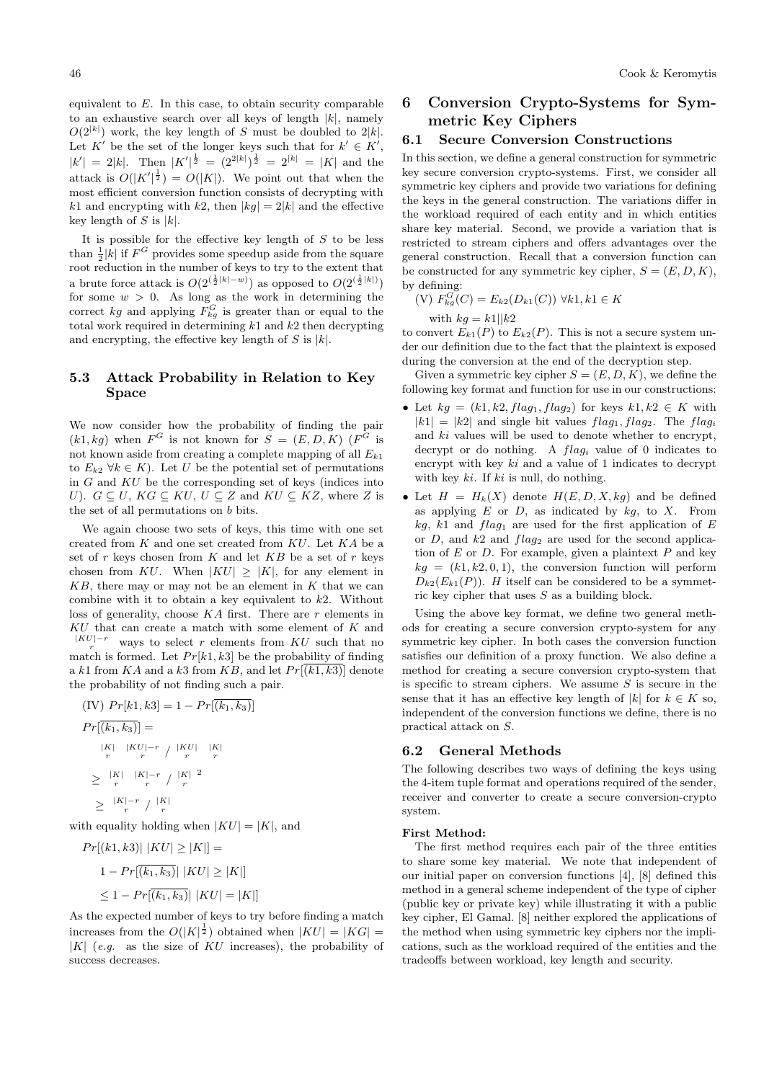equivalent to  $E$ . In this case, to obtain security comparable to an exhaustive search over all keys of length  $|k|$ , namely  $O(2^{|k|})$  work, the key length of S must be doubled to 2|k|. Let K' be the set of the longer keys such that for  $k' \in K'$ ,  $|k'| = 2|k|$ . Then  $|K'|^{\frac{1}{2}} = (2^{2|k|})^{\frac{1}{2}} = 2^{|k|} = |K|$  and the attack is  $O(|K'|\frac{1}{2}) = O(|K|)$ . We point out that when the most efficient conversion function consists of decrypting with k1 and encrypting with k2, then  $|kg| = 2|k|$  and the effective key length of  $S$  is  $|k|$ .

It is possible for the effective key length of  $S$  to be less than  $\frac{1}{2}|k|$  if  $F^G$  provides some speedup aside from the square root reduction in the number of keys to try to the extent that a brute force attack is  $O(2^{(\frac{1}{2}|k|-w)})$  as opposed to  $O(2^{(\frac{1}{2}|k|)})$ for some  $w > 0$ . As long as the work in determining the correct kg and applying  $F_{kg}^G$  is greater than or equal to the total work required in determining  $k1$  and  $k2$  then decrypting and encrypting, the effective key length of  $S$  is  $|k|$ .

## 5.3 Attack Probability in Relation to Key Space

We now consider how the probability of finding the pair  $(k1, kg)$  when  $F^G$  is not known for  $S = (E, D, K)$  ( $F^G$  is not known aside from creating a complete mapping of all  $E_{k1}$ to  $E_{k2}$   $\forall k \in K$ ). Let U be the potential set of permutations in  $G$  and  $KU$  be the corresponding set of keys (indices into U).  $G \subseteq U$ ,  $KG \subseteq KU$ ,  $U \subseteq Z$  and  $KU \subseteq KZ$ , where Z is the set of all permutations on b bits.

We again choose two sets of keys, this time with one set created from K and one set created from KU. Let KA be a set of r keys chosen from  $K$  and let  $KB$  be a set of r keys chosen from KU. When  $|KU| \geq |K|$ , for any element in  $KB$ , there may or may not be an element in K that we can combine with it to obtain a key equivalent to  $k2$ . Without loss of generality, choose  $KA$  first. There are  $r$  elements in KU that can create a match with some element of K and  $\frac{|KU| - r}{r}$  ways to select r elements from KU such that no match is formed. Let  $Pr[k1, k3]$  be the probability of finding a k1 from KA and a k3 from KB, and let  $Pr[\overline{k1, k3}]$  denote the probability of not finding such a pair.

$$
\begin{aligned} \n\text{(IV)} \ Pr[k1, k3] &= 1 - \Pr[(\overline{k_1, k_3})] \\ \n\Pr[(\overline{k_1, k_3})] &= \\ \n\frac{|K|}{r} \quad |\frac{KU| - r}{r} / \frac{|KU|}{r} \quad |\frac{|K|}{r} \\ \n&\geq \frac{|K|}{r} \quad |\frac{|K| - r}{r} / \frac{|K|}{r} \\ \n&\geq \frac{|K| - r}{r} / \frac{|K|}{r} \n\end{aligned}
$$

with equality holding when  $|KU| = |K|$ , and

$$
Pr[(k1, k3)| |KU| \ge |K|] =
$$
  

$$
1 - Pr[\overline{(k_1, k_3)}| |KU| \ge |K|]
$$
  

$$
\le 1 - Pr[\overline{(k_1, k_3)}| |KU| = |K|]
$$

As the expected number of keys to try before finding a match increases from the  $O(|K|^{\frac{1}{2}})$  obtained when  $|KU| = |KG|$  $|K|$  (e.g. as the size of KU increases), the probability of success decreases.

## 6 Conversion Crypto-Systems for Symmetric Key Ciphers

## 6.1 Secure Conversion Constructions

In this section, we define a general construction for symmetric key secure conversion crypto-systems. First, we consider all symmetric key ciphers and provide two variations for defining the keys in the general construction. The variations differ in the workload required of each entity and in which entities share key material. Second, we provide a variation that is restricted to stream ciphers and offers advantages over the general construction. Recall that a conversion function can be constructed for any symmetric key cipher,  $S = (E, D, K)$ , by defining:

(V) 
$$
F_{kg}^{G}(C) = E_{k2}(D_{k1}(C)) \ \forall k1, k1 \in K
$$

with  $kg = k1||k2$ 

to convert  $E_{k1}(P)$  to  $E_{k2}(P)$ . This is not a secure system under our definition due to the fact that the plaintext is exposed during the conversion at the end of the decryption step.

Given a symmetric key cipher  $S = (E, D, K)$ , we define the following key format and function for use in our constructions:

- Let  $kq = (k1, k2, flag_1, flag_2)$  for keys  $k1, k2 \in K$  with  $|k1| = |k2|$  and single bit values  $flag_1, flag_2$ . The  $flag_i$ and ki values will be used to denote whether to encrypt, decrypt or do nothing. A  $flag_i$  value of 0 indicates to encrypt with key  $ki$  and a value of 1 indicates to decrypt with key  $ki$ . If  $ki$  is null, do nothing.
- Let  $H = H_k(X)$  denote  $H(E, D, X, kg)$  and be defined as applying  $E$  or  $D$ , as indicated by  $kg$ , to  $X$ . From  $kg, k1$  and  $flag_1$  are used for the first application of E or  $D$ , and  $k2$  and  $flag_2$  are used for the second application of  $E$  or  $D$ . For example, given a plaintext  $P$  and key  $kg = (k1, k2, 0, 1)$ , the conversion function will perform  $D_{k2}(E_{k1}(P)).$  H itself can be considered to be a symmetric key cipher that uses  $S$  as a building block.

Using the above key format, we define two general methods for creating a secure conversion crypto-system for any symmetric key cipher. In both cases the conversion function satisfies our definition of a proxy function. We also define a method for creating a secure conversion crypto-system that is specific to stream ciphers. We assume  $S$  is secure in the sense that it has an effective key length of |k| for  $k \in K$  so, independent of the conversion functions we define, there is no practical attack on S.

#### 6.2 General Methods

The following describes two ways of defining the keys using the 4-item tuple format and operations required of the sender, receiver and converter to create a secure conversion-crypto system.

#### First Method:

The first method requires each pair of the three entities to share some key material. We note that independent of our initial paper on conversion functions [4], [8] defined this method in a general scheme independent of the type of cipher (public key or private key) while illustrating it with a public key cipher, El Gamal. [8] neither explored the applications of the method when using symmetric key ciphers nor the implications, such as the workload required of the entities and the tradeoffs between workload, key length and security.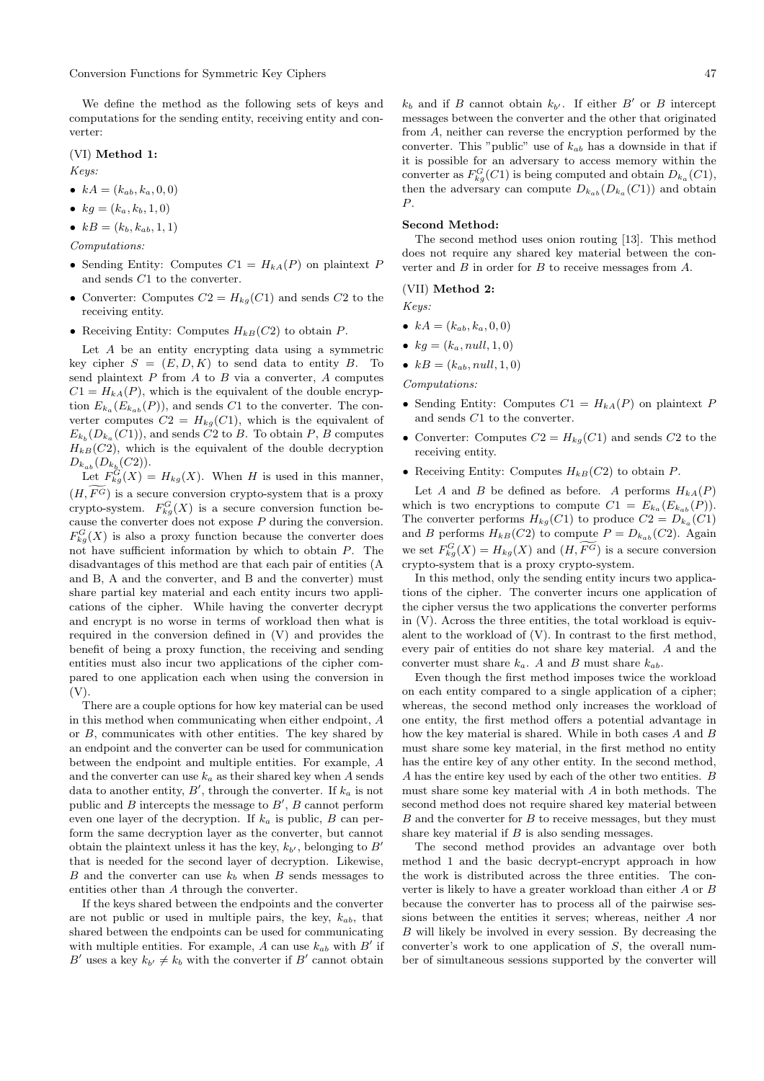We define the method as the following sets of keys and computations for the sending entity, receiving entity and converter:

#### (VI) Method 1:

Keys:

- $kA = (k_{ab}, k_a, 0, 0)$
- $kq = (k_a, k_b, 1, 0)$
- $kB = (k_b, k_{ab}, 1, 1)$

Computations:

- Sending Entity: Computes  $C1 = H_{kA}(P)$  on plaintext P and sends C1 to the converter.
- Converter: Computes  $C2 = H_{kg}(C1)$  and sends  $C2$  to the receiving entity.
- Receiving Entity: Computes  $H_{kB}(C2)$  to obtain P.

Let  $A$  be an entity encrypting data using a symmetric key cipher  $S = (E, D, K)$  to send data to entity B. To send plaintext  $P$  from  $A$  to  $B$  via a converter,  $A$  computes  $C1 = H_{kA}(P)$ , which is the equivalent of the double encryption  $E_{k_a}(E_{k_{ab}}(P))$ , and sends C1 to the converter. The converter computes  $C_2 = H_{kg}(C_1)$ , which is the equivalent of  $E_{k_b}(D_{k_a}(C_1))$ , and sends  $C_2$  to  $B$ . To obtain  $P, B$  computes  $H_{kB}(C2)$ , which is the equivalent of the double decryption  $D_{k_{ab}}(D_{k_b}(C2)).$ 

Let  $F_{kg}^{G}(X) = H_{kg}(X)$ . When H is used in this manner,  $(H, F<sup>G</sup>)$  is a secure conversion crypto-system that is a proxy crypto-system.  $F_{kg}^{G}(X)$  is a secure conversion function because the converter does not expose P during the conversion.  $F_{kg}^{G}(X)$  is also a proxy function because the converter does not have sufficient information by which to obtain P. The disadvantages of this method are that each pair of entities (A and B, A and the converter, and B and the converter) must share partial key material and each entity incurs two applications of the cipher. While having the converter decrypt and encrypt is no worse in terms of workload then what is required in the conversion defined in (V) and provides the benefit of being a proxy function, the receiving and sending entities must also incur two applications of the cipher compared to one application each when using the conversion in (V).

There are a couple options for how key material can be used in this method when communicating when either endpoint, A or  $B$ , communicates with other entities. The key shared by an endpoint and the converter can be used for communication between the endpoint and multiple entities. For example, A and the converter can use  $k_a$  as their shared key when A sends data to another entity,  $B'$ , through the converter. If  $k_a$  is not public and  $B$  intercepts the message to  $B'$ ,  $B$  cannot perform even one layer of the decryption. If  $k_a$  is public,  $B$  can perform the same decryption layer as the converter, but cannot obtain the plaintext unless it has the key,  $k_{b'}$ , belonging to  $B'$ that is needed for the second layer of decryption. Likewise, B and the converter can use  $k_b$  when B sends messages to entities other than A through the converter.

If the keys shared between the endpoints and the converter are not public or used in multiple pairs, the key,  $k_{ab}$ , that shared between the endpoints can be used for communicating with multiple entities. For example, A can use  $k_{ab}$  with B' if B' uses a key  $k_{b'} \neq k_b$  with the converter if B' cannot obtain

 $k_b$  and if B cannot obtain  $k_{b'}$ . If either B' or B intercept messages between the converter and the other that originated from A, neither can reverse the encryption performed by the converter. This "public" use of  $k_{ab}$  has a downside in that if it is possible for an adversary to access memory within the converter as  $F_{kg}^{G}(C1)$  is being computed and obtain  $D_{k_a}(C1)$ , then the adversary can compute  $D_{k_{ab}}(D_{k_a}(C_1))$  and obtain P.

#### Second Method:

The second method uses onion routing [13]. This method does not require any shared key material between the converter and  $B$  in order for  $B$  to receive messages from  $A$ .

#### (VII) Method 2:

Keys:

- $kA = (k_{ab}, k_a, 0, 0)$
- $kq = (k_a, null, 1, 0)$
- $kB = (k_{ab}, null, 1, 0)$

Computations:

- Sending Entity: Computes  $C1 = H_{kA}(P)$  on plaintext P and sends C1 to the converter.
- Converter: Computes  $C2 = H_{kg}(C1)$  and sends  $C2$  to the receiving entity.
- Receiving Entity: Computes  $H_{kB}(C2)$  to obtain P.

Let A and B be defined as before. A performs  $H_{kA}(P)$ which is two encryptions to compute  $C1 = E_{k_a}(E_{k_{ab}}(P)).$ The converter performs  $H_{kg}(C1)$  to produce  $C2 = D_{k_a}(C1)$ and B performs  $H_{kB}(C2)$  to compute  $P = D_{k_{ab}}(C2)$ . Again we set  $F_{kg}^{G}(X) = H_{kg}(X)$  and  $(H, \widetilde{F^G})$  is a secure conversion crypto-system that is a proxy crypto-system.

In this method, only the sending entity incurs two applications of the cipher. The converter incurs one application of the cipher versus the two applications the converter performs in (V). Across the three entities, the total workload is equivalent to the workload of (V). In contrast to the first method, every pair of entities do not share key material. A and the converter must share  $k_a$ . A and B must share  $k_{ab}$ .

Even though the first method imposes twice the workload on each entity compared to a single application of a cipher; whereas, the second method only increases the workload of one entity, the first method offers a potential advantage in how the key material is shared. While in both cases A and B must share some key material, in the first method no entity has the entire key of any other entity. In the second method, A has the entire key used by each of the other two entities. B must share some key material with A in both methods. The second method does not require shared key material between  $B$  and the converter for  $B$  to receive messages, but they must share key material if  $B$  is also sending messages.

The second method provides an advantage over both method 1 and the basic decrypt-encrypt approach in how the work is distributed across the three entities. The converter is likely to have a greater workload than either A or B because the converter has to process all of the pairwise sessions between the entities it serves; whereas, neither A nor B will likely be involved in every session. By decreasing the converter's work to one application of S, the overall number of simultaneous sessions supported by the converter will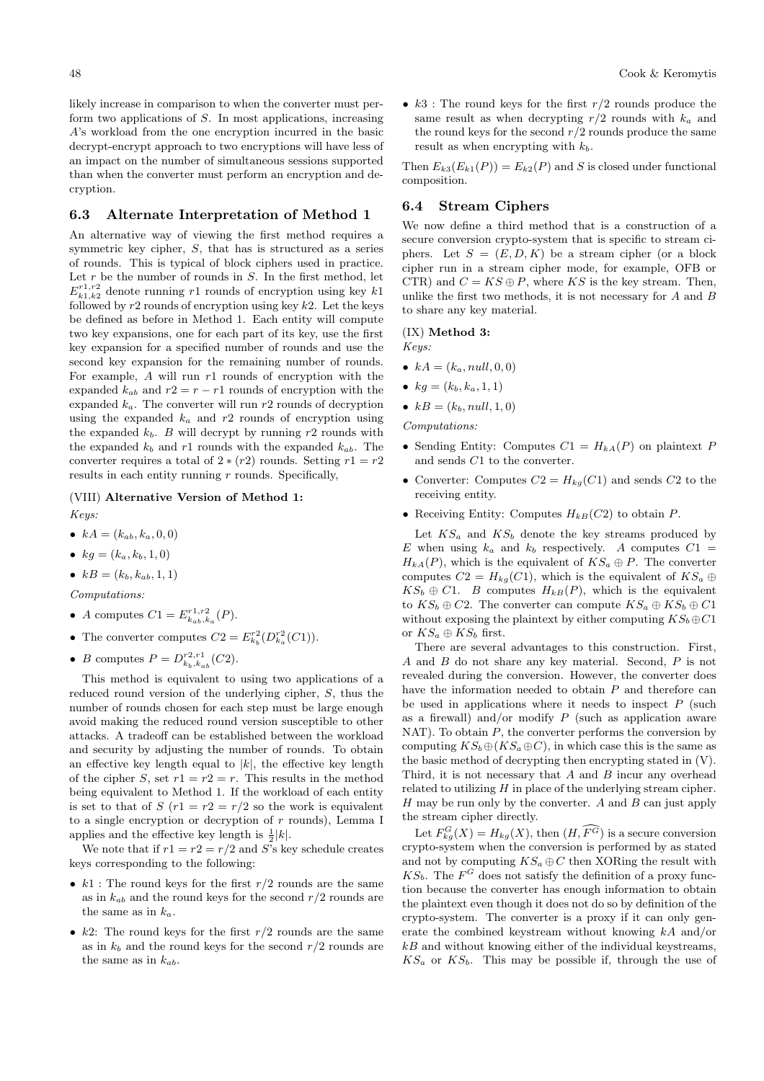likely increase in comparison to when the converter must perform two applications of S. In most applications, increasing A's workload from the one encryption incurred in the basic decrypt-encrypt approach to two encryptions will have less of an impact on the number of simultaneous sessions supported than when the converter must perform an encryption and decryption.

#### 6.3 Alternate Interpretation of Method 1

An alternative way of viewing the first method requires a symmetric key cipher,  $S$ , that has is structured as a series of rounds. This is typical of block ciphers used in practice. Let  $r$  be the number of rounds in  $S$ . In the first method, let  $E_{k_1,k_2}^{r_1,r_2}$  denote running r1 rounds of encryption using key  $k_1$ followed by  $r2$  rounds of encryption using key  $k2$ . Let the keys be defined as before in Method 1. Each entity will compute two key expansions, one for each part of its key, use the first key expansion for a specified number of rounds and use the second key expansion for the remaining number of rounds. For example,  $A$  will run  $r1$  rounds of encryption with the expanded  $k_{ab}$  and  $r2 = r - r1$  rounds of encryption with the expanded  $k_a$ . The converter will run r2 rounds of decryption using the expanded  $k_a$  and r2 rounds of encryption using the expanded  $k_b$ . B will decrypt by running  $r2$  rounds with the expanded  $k_b$  and r1 rounds with the expanded  $k_{ab}$ . The converter requires a total of  $2*(r2)$  rounds. Setting  $r1 = r2$ results in each entity running  $r$  rounds. Specifically,

(VIII) Alternative Version of Method 1: Keys:

- $kA = (k_{ab}, k_a, 0, 0)$
- $kg = (k_a, k_b, 1, 0)$
- $kB = (k_b, k_{ab}, 1, 1)$

Computations:

- A computes  $C1 = E_{k_{ab},k_a}^{r1,r2}(P)$ .
- The converter computes  $C2 = E_{k_b}^{r2}(D_{k_a}^{r2}(C1)).$
- *B* computes  $P = D_{k_b, k_{ab}}^{r2, r1}(C2)$ .

This method is equivalent to using two applications of a reduced round version of the underlying cipher, S, thus the number of rounds chosen for each step must be large enough avoid making the reduced round version susceptible to other attacks. A tradeoff can be established between the workload and security by adjusting the number of rounds. To obtain an effective key length equal to  $|k|$ , the effective key length of the cipher S, set  $r1 = r2 = r$ . This results in the method being equivalent to Method 1. If the workload of each entity is set to that of  $S(r1 = r2 = r/2$  so the work is equivalent to a single encryption or decryption of  $r$  rounds), Lemma I applies and the effective key length is  $\frac{1}{2}|k|$ .

We note that if  $r1 = r2 = r/2$  and S's key schedule creates keys corresponding to the following:

- $k1$ : The round keys for the first  $r/2$  rounds are the same as in  $k_{ab}$  and the round keys for the second  $r/2$  rounds are the same as in  $k_a$ .
- $k2$ : The round keys for the first  $r/2$  rounds are the same as in  $k_b$  and the round keys for the second  $r/2$  rounds are the same as in  $k_{ab}$ .

•  $k3$ : The round keys for the first  $r/2$  rounds produce the same result as when decrypting  $r/2$  rounds with  $k_a$  and the round keys for the second  $r/2$  rounds produce the same result as when encrypting with  $k_b$ .

Then  $E_{k3}(E_{k1}(P)) = E_{k2}(P)$  and S is closed under functional composition.

## 6.4 Stream Ciphers

We now define a third method that is a construction of a secure conversion crypto-system that is specific to stream ciphers. Let  $S = (E, D, K)$  be a stream cipher (or a block cipher run in a stream cipher mode, for example, OFB or CTR) and  $C = KS \oplus P$ , where KS is the key stream. Then, unlike the first two methods, it is not necessary for  $A$  and  $B$ to share any key material.

## (IX) Method 3:

Keys:

- $kA = (k_a, null, 0, 0)$
- $kq = (k_b, k_a, 1, 1)$
- $kB = (k_b, null, 1, 0)$

Computations:

- Sending Entity: Computes  $C1 = H_{kA}(P)$  on plaintext P and sends C1 to the converter.
- Converter: Computes  $C2 = H_{kg}(C1)$  and sends  $C2$  to the receiving entity.
- Receiving Entity: Computes  $H_{kB}(C2)$  to obtain  $P$ .

Let  $KS_a$  and  $KS_b$  denote the key streams produced by E when using  $k_a$  and  $k_b$  respectively. A computes  $C1 =$  $H_{kA}(P)$ , which is the equivalent of  $KS_a \oplus P$ . The converter computes  $C_2 = H_{kq}(C_1)$ , which is the equivalent of  $KS_a \oplus$  $KS_b \oplus C1$ . B computes  $H_{kB}(P)$ , which is the equivalent to  $KS_b \oplus C2$ . The converter can compute  $KS_a \oplus KS_b \oplus C1$ without exposing the plaintext by either computing  $KS_b \oplus C1$ or  $KS_a \oplus KS_b$  first.

There are several advantages to this construction. First, A and B do not share any key material. Second, P is not revealed during the conversion. However, the converter does have the information needed to obtain P and therefore can be used in applications where it needs to inspect  $P$  (such as a firewall) and/or modify  $P$  (such as application aware NAT). To obtain  $P$ , the converter performs the conversion by computing  $KS_b \oplus (KS_a \oplus C)$ , in which case this is the same as the basic method of decrypting then encrypting stated in (V). Third, it is not necessary that  $A$  and  $B$  incur any overhead related to utilizing  $H$  in place of the underlying stream cipher.  $H$  may be run only by the converter. A and  $B$  can just apply the stream cipher directly.

Let  $F_{kg}^{G}(X) = H_{kg}(X)$ , then  $(H, \widehat{F}^{G})$  is a secure conversion crypto-system when the conversion is performed by as stated and not by computing  $KS_a \oplus C$  then XORing the result with  $KS_b$ . The  $F^G$  does not satisfy the definition of a proxy function because the converter has enough information to obtain the plaintext even though it does not do so by definition of the crypto-system. The converter is a proxy if it can only generate the combined keystream without knowing  $kA$  and/or  $kB$  and without knowing either of the individual keystreams,  $KS_a$  or  $KS_b$ . This may be possible if, through the use of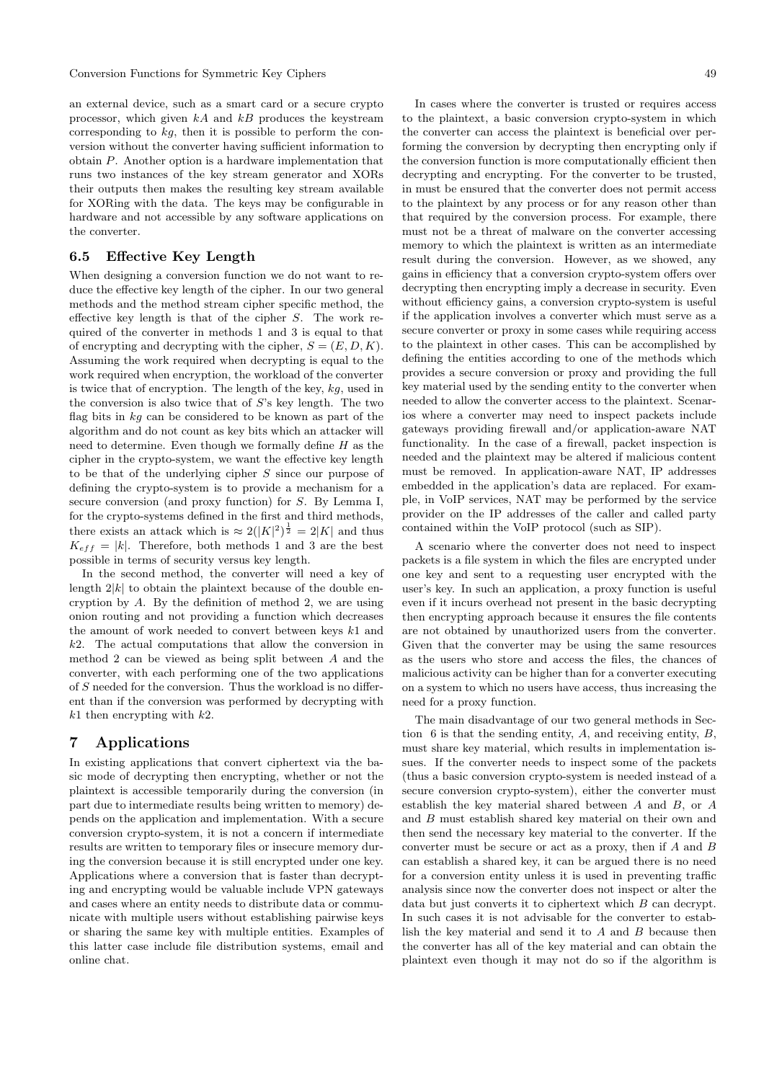an external device, such as a smart card or a secure crypto processor, which given  $kA$  and  $kB$  produces the keystream corresponding to kg, then it is possible to perform the conversion without the converter having sufficient information to obtain P. Another option is a hardware implementation that runs two instances of the key stream generator and XORs their outputs then makes the resulting key stream available for XORing with the data. The keys may be configurable in hardware and not accessible by any software applications on the converter.

#### 6.5 Effective Key Length

When designing a conversion function we do not want to reduce the effective key length of the cipher. In our two general methods and the method stream cipher specific method, the effective key length is that of the cipher S. The work required of the converter in methods 1 and 3 is equal to that of encrypting and decrypting with the cipher,  $S = (E, D, K)$ . Assuming the work required when decrypting is equal to the work required when encryption, the workload of the converter is twice that of encryption. The length of the key,  $kq$ , used in the conversion is also twice that of  $S$ 's key length. The two flag bits in  $kq$  can be considered to be known as part of the algorithm and do not count as key bits which an attacker will need to determine. Even though we formally define H as the cipher in the crypto-system, we want the effective key length to be that of the underlying cipher S since our purpose of defining the crypto-system is to provide a mechanism for a secure conversion (and proxy function) for S. By Lemma I, for the crypto-systems defined in the first and third methods, there exists an attack which is  $\approx 2(|K|^2)^{\frac{1}{2}} = 2|K|$  and thus  $K_{eff} = |k|$ . Therefore, both methods 1 and 3 are the best possible in terms of security versus key length.

In the second method, the converter will need a key of length  $2|k|$  to obtain the plaintext because of the double encryption by A. By the definition of method 2, we are using onion routing and not providing a function which decreases the amount of work needed to convert between keys k1 and  $k2$ . The actual computations that allow the conversion in method 2 can be viewed as being split between A and the converter, with each performing one of the two applications of S needed for the conversion. Thus the workload is no different than if the conversion was performed by decrypting with  $k1$  then encrypting with  $k2$ .

## 7 Applications

In existing applications that convert ciphertext via the basic mode of decrypting then encrypting, whether or not the plaintext is accessible temporarily during the conversion (in part due to intermediate results being written to memory) depends on the application and implementation. With a secure conversion crypto-system, it is not a concern if intermediate results are written to temporary files or insecure memory during the conversion because it is still encrypted under one key. Applications where a conversion that is faster than decrypting and encrypting would be valuable include VPN gateways and cases where an entity needs to distribute data or communicate with multiple users without establishing pairwise keys or sharing the same key with multiple entities. Examples of this latter case include file distribution systems, email and online chat.

In cases where the converter is trusted or requires access to the plaintext, a basic conversion crypto-system in which the converter can access the plaintext is beneficial over performing the conversion by decrypting then encrypting only if the conversion function is more computationally efficient then decrypting and encrypting. For the converter to be trusted, in must be ensured that the converter does not permit access to the plaintext by any process or for any reason other than that required by the conversion process. For example, there must not be a threat of malware on the converter accessing memory to which the plaintext is written as an intermediate result during the conversion. However, as we showed, any gains in efficiency that a conversion crypto-system offers over decrypting then encrypting imply a decrease in security. Even without efficiency gains, a conversion crypto-system is useful if the application involves a converter which must serve as a secure converter or proxy in some cases while requiring access to the plaintext in other cases. This can be accomplished by defining the entities according to one of the methods which provides a secure conversion or proxy and providing the full key material used by the sending entity to the converter when needed to allow the converter access to the plaintext. Scenarios where a converter may need to inspect packets include gateways providing firewall and/or application-aware NAT functionality. In the case of a firewall, packet inspection is needed and the plaintext may be altered if malicious content must be removed. In application-aware NAT, IP addresses embedded in the application's data are replaced. For example, in VoIP services, NAT may be performed by the service provider on the IP addresses of the caller and called party contained within the VoIP protocol (such as SIP).

A scenario where the converter does not need to inspect packets is a file system in which the files are encrypted under one key and sent to a requesting user encrypted with the user's key. In such an application, a proxy function is useful even if it incurs overhead not present in the basic decrypting then encrypting approach because it ensures the file contents are not obtained by unauthorized users from the converter. Given that the converter may be using the same resources as the users who store and access the files, the chances of malicious activity can be higher than for a converter executing on a system to which no users have access, thus increasing the need for a proxy function.

The main disadvantage of our two general methods in Section  $6$  is that the sending entity,  $A$ , and receiving entity,  $B$ , must share key material, which results in implementation issues. If the converter needs to inspect some of the packets (thus a basic conversion crypto-system is needed instead of a secure conversion crypto-system), either the converter must establish the key material shared between A and B, or A and B must establish shared key material on their own and then send the necessary key material to the converter. If the converter must be secure or act as a proxy, then if A and B can establish a shared key, it can be argued there is no need for a conversion entity unless it is used in preventing traffic analysis since now the converter does not inspect or alter the data but just converts it to ciphertext which  $B$  can decrypt. In such cases it is not advisable for the converter to establish the key material and send it to A and B because then the converter has all of the key material and can obtain the plaintext even though it may not do so if the algorithm is